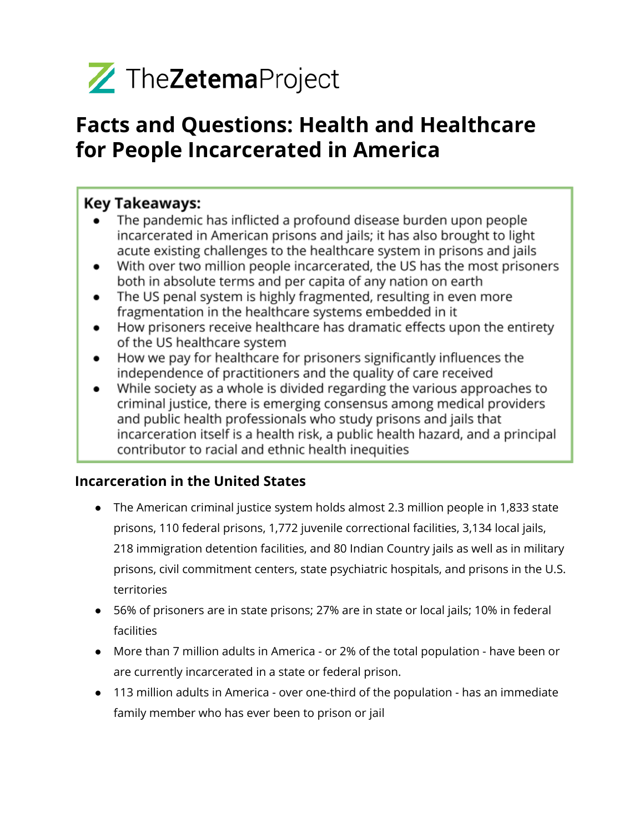

# **Facts and Questions: Health and Healthcare for People Incarcerated in America**

# **Key Takeaways:**

- The pandemic has inflicted a profound disease burden upon people incarcerated in American prisons and jails; it has also brought to light acute existing challenges to the healthcare system in prisons and jails
- With over two million people incarcerated, the US has the most prisoners  $\bullet$ both in absolute terms and per capita of any nation on earth
- The US penal system is highly fragmented, resulting in even more  $\bullet$ fragmentation in the healthcare systems embedded in it
- How prisoners receive healthcare has dramatic effects upon the entirety of the US healthcare system
- How we pay for healthcare for prisoners significantly influences the independence of practitioners and the quality of care received
- While society as a whole is divided regarding the various approaches to criminal justice, there is emerging consensus among medical providers and public health professionals who study prisons and jails that incarceration itself is a health risk, a public health hazard, and a principal contributor to racial and ethnic health inequities

# **Incarceration in the United States**

- The American criminal justice system holds almost 2.3 million people in 1,833 state prisons, 110 federal prisons, 1,772 juvenile correctional facilities, 3,134 local jails, 218 immigration detention facilities, and 80 Indian Country jails as well as in military prisons, civil commitment centers, state psychiatric hospitals, and prisons in the U.S. territories
- 56% of prisoners are in state prisons; 27% are in state or local jails; 10% in federal facilities
- More than 7 million adults in America or 2% of the total population have been or are currently incarcerated in a state or federal prison.
- 113 million adults in America over one-third of the population has an immediate family member who has ever been to prison or jail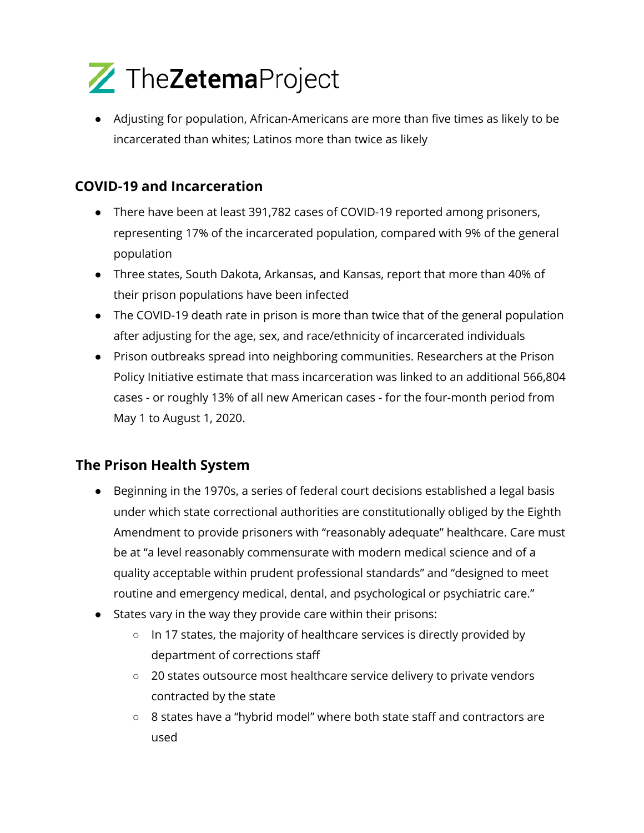

● Adjusting for population, African-Americans are more than five times as likely to be incarcerated than whites; Latinos more than twice as likely

## **COVID-19 and Incarceration**

- There have been at least 391,782 cases of COVID-19 reported among prisoners, representing 17% of the incarcerated population, compared with 9% of the general population
- Three states, South Dakota, Arkansas, and Kansas, report that more than 40% of their prison populations have been infected
- The COVID-19 death rate in prison is more than twice that of the general population after adjusting for the age, sex, and race/ethnicity of incarcerated individuals
- Prison outbreaks spread into neighboring communities. Researchers at the Prison Policy Initiative estimate that mass incarceration was linked to an additional 566,804 cases - or roughly 13% of all new American cases - for the four-month period from May 1 to August 1, 2020.

#### **The Prison Health System**

- Beginning in the 1970s, a series of federal court decisions established a legal basis under which state correctional authorities are constitutionally obliged by the Eighth Amendment to provide prisoners with "reasonably adequate" healthcare. Care must be at "a level reasonably commensurate with modern medical science and of a quality acceptable within prudent professional standards" and "designed to meet routine and emergency medical, dental, and psychological or psychiatric care."
- States vary in the way they provide care within their prisons:
	- In 17 states, the majority of healthcare services is directly provided by department of corrections staff
	- 20 states outsource most healthcare service delivery to private vendors contracted by the state
	- 8 states have a "hybrid model" where both state staff and contractors are used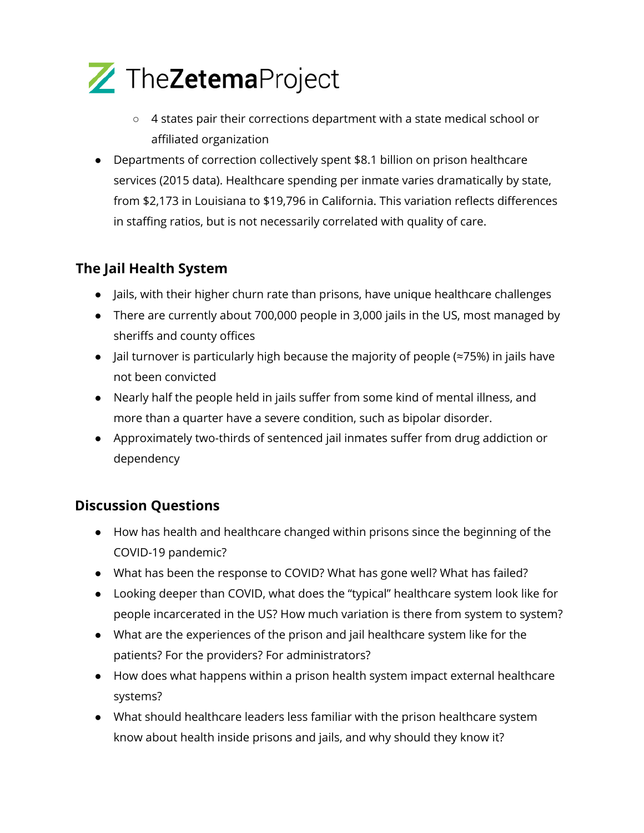

- 4 states pair their corrections department with a state medical school or affiliated organization
- Departments of correction collectively spent \$8.1 billion on prison healthcare services (2015 data). Healthcare spending per inmate varies dramatically by state, from \$2,173 in Louisiana to \$19,796 in California. This variation reflects differences in staffing ratios, but is not necessarily correlated with quality of care.

## **The Jail Health System**

- Jails, with their higher churn rate than prisons, have unique healthcare challenges
- There are currently about 700,000 people in 3,000 jails in the US, most managed by sheriffs and county offices
- Jail turnover is particularly high because the majority of people (≈75%) in jails have not been convicted
- Nearly half the people held in jails suffer from some kind of mental illness, and more than a quarter have a severe condition, such as bipolar disorder.
- Approximately two-thirds of sentenced jail inmates suffer from drug addiction or dependency

# **Discussion Questions**

- How has health and healthcare changed within prisons since the beginning of the COVID-19 pandemic?
- What has been the response to COVID? What has gone well? What has failed?
- Looking deeper than COVID, what does the "typical" healthcare system look like for people incarcerated in the US? How much variation is there from system to system?
- What are the experiences of the prison and jail healthcare system like for the patients? For the providers? For administrators?
- How does what happens within a prison health system impact external healthcare systems?
- What should healthcare leaders less familiar with the prison healthcare system know about health inside prisons and jails, and why should they know it?